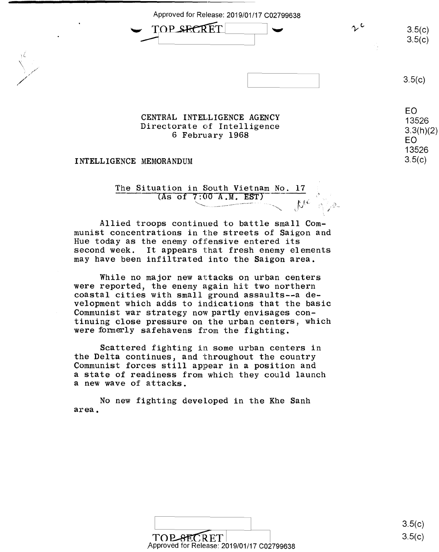Approved for Release: 2019/01/17 C02799638 Approved for Release: 2019/01/17 C02799638

 $\begin{picture}(100,10) \put(0,0){\line(1,0){15}} \put(15,0){\line(1,0){15}} \put(15,0){\line(1,0){15}} \put(15,0){\line(1,0){15}} \put(15,0){\line(1,0){15}} \put(15,0){\line(1,0){15}} \put(15,0){\line(1,0){15}} \put(15,0){\line(1,0){15}} \put(15,0){\line(1,0){15}} \put(15,0){\line(1,0){15}} \put(15,0){\line(1,0){15}} \put(15,0){\line($ 

 $3.5(c)$  $3.5(c)$ 

 $3.5(c)$ 

13526 3.3(h)(2) EO

 $3.5(c)$ 

EO EO

13526 13526

CENTRAL INTELLIGENCE AGENCY 13526 Directorate of Intelligence (1992)<br>
6 February 1968 (1998) EQME 6 February 1968

INTELLIGENCE MEMORANDUM 3.5(c)

The Situation in South Vietnam No. 17  $($ As of  $7:00$  A.M. EST) '--------- fl . ., -... mit- <sup>e</sup>

\ i"; . .:I f. . \.

Allied troops continued to battle small Com-Allied troops continued to battle small Communist concentrations in the streets of Saigon and munist concentrations in the streets of Saigon and Hue today as the enemy offensive entered its Hue today as the enemy offensive entered its second week. It appears that fresh enemy elements second week. It appears that fresh enemy elements may have been infiltrated into the Saigon area. may have been infiltrated into the Saigon area.

While no major new attacks on urban centers While no major new attacks on urban centers were reported, the enemy again hit two northern were reported, the enemy again hit two northern coastal cities with small ground assaults--a de-coastal cities with small ground assaults-—a development which adds to indications that the basic velopment which adds to indications that the basic Communist war strategy now partly envisages con-Communist war strategy now partly envisages continuing close pressure on the urban centers, which tinuing close pressure on the urban centers, which were formerly safehavens from the fighting. were formerly safehavens from the fighting.

Scattered fighting in some urban centers in Scattered fighting in some urban centers in the Delta continues, and throughout the country the Delta continues, and throughout the country Communist forces still appear in a position and Communist forces still appear in <sup>a</sup> position and a state of readiness from which they could launch <sup>a</sup> state of readiness from which they could launch a new wave of attacks.

No new fighting developed in the Khe Sanh area. area.



3.5(c) 3.5(c)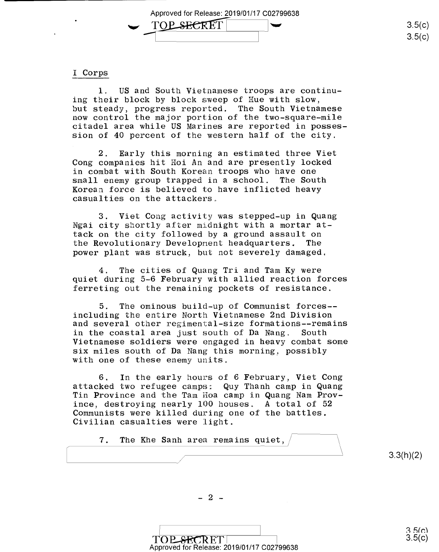Approved for Release: 2019/01/17 C02799638 Approved for Release: 2019/01/17 002799638 Approved for Release: 2019/01/17 C02799 TOP SECRET

#### I Corps l Corps

1. US and South Vietnamese troops are continu-1. US and South Vietnamese troops are continuing their block by block sweep of Hue with slow, but steady, progress reported. The South Vietnamese but steady, progress reported. The South Vietnamese now control the major portion of the two-square-mile now control the major portion of the two—square~mile citadel area while US Marines are reported in posses-citadel area while US Marines are reported in posses sion of 40 percent of the western half of the city. sion of 40 percent of the western half of the city.

2. Early this morning an estimated three Viet 2. Early this morning an estimated three Viet Cong companies hit Hoi An and are presently locked Cong companies hit Hoi An and are presently locked in combat with South Korean troops who have one in combat with South Korean troops who have one small enemy group trapped in a school. The South Korean force is believed to have inflicted heavy Korean force is believed to have inflicted heavy casualties on the attackers. casualties on the attackers.

3. Viet Cong activity was stepped-up in Quang 3. Viet Cong activity was stepped—up in Quang Ngai city shortly after midnight with a mortar attack on the city followed by a ground assault on tack on the city followed by <sup>a</sup> ground assault on the Revolutionary Developnent headquarters. The the Revolutionary Development headquarters. The power plant was struck, but not severely damaged, power plant was struck, but not severely damaged.

4. The cities of Quang Tri and Tam Ky were 4. The cities of Quang Tri and Tam Ky were quiet during 5-6 February with allied reaction forces quiet during 5-6 February with allied reaction forces ferreting out the remaining pockets of resistance. ferreting out the remaining pockets of resistance.

5. The ominous build-up of Communist forces-- 5. The ominous build~up of Communist forces~ including the entire North Vietnamese 2nd Division including the entire North Vietnamese 2nd Division and several other regimental-size formations--remains and several other regimental-size formations——remains in the coastal area just south of Da Nang. South in the coastal area just south of Da Nang. South Vietnamese soldiers were engaged in heavy combat some Vietnamese soldiers were engaged in heavy combat some six miles south of Da Nang this morning, possibly six miles south of Da Nang this morning. possibly with one of these enemy units. with one of these enemy units.

6. In the early hours of 6 February, Viet Cong 6. In the early hours of 6 February, Viet Cong attacked two refugee camps: Quy Thanh camp in Quang attacked two refugee camps: Quy Thanh camp in Quang Tin Province and the Tam Hoa camp in Quang Nam Prov-Tin Province and the Tam Hoa camp in Quang Nam Prov ince, destroying nearly 100 houses. A total of 52 ince, destroying nearly 100 houses. A total of 52 Communists were killed during one of the battles. Communists were killed during one ofthe battles. Civilian casualties were light. Civilian casualties were light.

7. The Khe Sanh area remains quiet,

3.3(h)(2)  $3.3(h)(2)$ 

 $-2 -$ 

TOP.SECRET TOP SECRET 3.5(c)<br>Approved for Release: 2019/01/17 C02799638  $3.5(c)$ 

 $3.5(c)$ 3.5(c)

 $3.5(c)$ 3.5(c)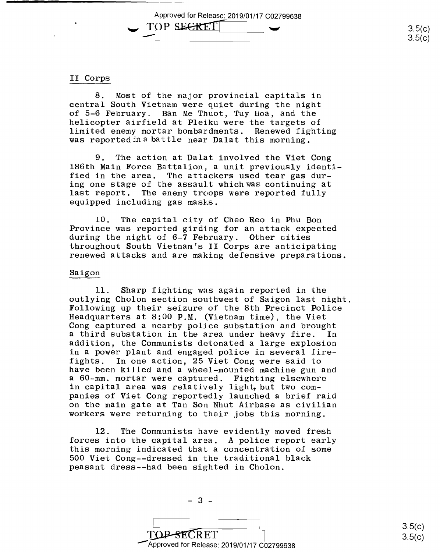Approved for Release: 2019/01/17 C02799638 Approved for Release: 2019/01/17 C0279<br>
TOP\_SECRET **-1^0P SECRET**<br>3.5(c)<br>3.5(c)  $3.5(c)$ Approved for Release;2019/01/17 002799638

## II Corps II Corps

8. Most of the major provincial capitals in 8. Most of the major provincial capitals in central South Vietnam were quiet during the night central South Vietnam were quiet during the night of 5-6 February. Ban Me Thuot, Tuy Hoa, and the of 5—6 February. Ban Me Thuot, Tuy Hoa, and the helicopter airfield at Pleiku were the targets of helicopter airfield at Pleiku were the targets of limited enemy mortar bombardments. Renewed fighting limited enemy mortar bombardments. Renewed fighting was reported in a battle near Da lat this morning. was reportedinzlbattle near Dalat this morning.

9. The action at Dalat involved the Viet Cong 9. The action at Dalat involved the Viet Cong 186th Main Force Battalion, a unit previously identi-186th Main Force Battalion, <sup>a</sup> unit previously identi fied in the area. The attackers used tear gas dur-fied in the area. The attackers used tear gas dur ing one stage of the assault whichwas continuing at ing one stage of the assault whichvms continuing at last report. The enemy troops were reported fully last report. The enemy troops were reported fully equipped including gas masks. equipped including gas masks.

10. The capital city of Cheo Reo in Phu Bon 10. The capital city of Cheo Reo in Phu Bon Province was reported girding for an attack expected during the night of 6-7 February. Other cities during the night of 6—7 February. Other cities throughout South Vietnam's II Corps are anticipating throughout South Vietnam's II Corps are anticipating renewed attacks and are making defensive preparations.

### Saigon Saigon

11. Sharp fighting was again reported in the 11. Sharp fighting was again reported in the outlying Cholon section southwest of Saigon last night. outlying Cholon section southwest of Saigon last night. Following up their seizure of the 8th Precinct Police Following up their seizure of the 8th Precinct Police Headquarters at 8:00 **P.M.** (Vietnam time), the Viet Headquarters at 8:00 P.M. (Vietnam time), the Viet Cong captured a nearby police substation and brought Cong captured <sup>a</sup> nearby police substation and brought a third substation in the area under heavy fire. In <sup>a</sup> third substation in the area under heavy fire. In addition, the Communists detonated a large explosion addition, the Communists detonated <sup>a</sup> large explosion in a power plant and engaged police in several fire-in <sup>a</sup> power plant and engaged police in several fire fights. In one action, 25 Viet Cong were said to fights. In one action, 25 Viet Cong were said to have been killed and a wheel-mounted machine gun and have been killed and <sup>a</sup> wheel-mounted machine gun and a 60-mm. mortar were captured. Fighting elsewhere <sup>a</sup> 60-mm. mortar were captured. Fighting elsewhere in capital area was relatively light, but two companies of Viet Cong reportedly launched a brief raid panies of Viet Cong reportedly launched <sup>a</sup> brief raid on the main gate at Tan Son Nhut Airbase as civilian on the main gate at Tan Son Nhut Airbase as civilian workers were returning to their jobs this morning. workers were returning to their jobs this morning.

12. The Communists have evidently moved fresh 12. The Communists have evidently moved fresh forces into the capital area. A police report early forces into the capital area. A police report early this morning indicated that a concentration of some this morning indicated that <sup>a</sup> concentration of some 500 Viet Cong--dressed in the traditional black 500 Viet Cong—-dressed in the traditional black peasant dress--had been sighted in Cholon. peasant dresse—had been sighted in Cholon.

 $-3$   $-$ <br>TOP-SECRET --Approved for Release: 2019/01/17 C02799638 'Approved for Release: 2019/01/17 002799638 $\overbrace{\text{OP-SECRET}}$  3.5(c)<br>3.5(c)

 $-3 -$ 

3.5(c)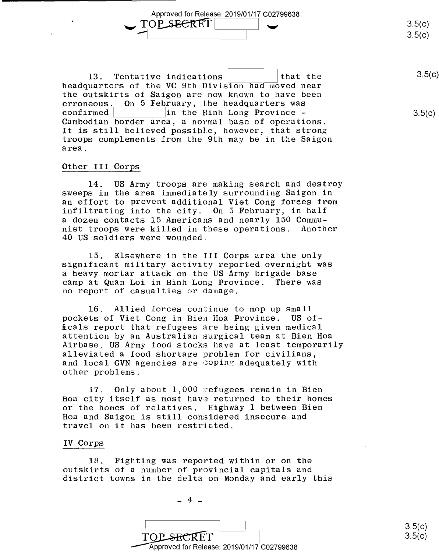**-** TOP SECRET 3.5(c)<br>3.5(c)  $3.5(c)$  $3.5(c)$ 

3.5(c)

 $3.5(c)$ 

13. Tentative indications ~-~~~that the 13. Tentative indications that the 35(0) headquarters of the **VC** 9th Division had moved near headquarters of the VC 9th Division had moved near the outskirts of Saigon are now known to have been erroneous.<u> On 5 Feb</u>ruary, the headquarters was confirmed ~----~in the Binh Long Province - Cambodian border area, a normal base of operations. Cambodian border area, <sup>a</sup> normal base of operations. It is still believed possible, however, that strong It is still believed possible, however, that strong troops complements from the 9th may be in the Saigon area. area.  $\text{confirmed}$   $\vert$  in the Binh Long Province -

Approved for Release: 2019/01/17 C02799638 \_.,TO~I I.\_, Approved for Release: 2019/01/17 002799638

# Other III Corps

'

14. US Army troops are making search and destroy 14. US Army troops are making search and destroy sweeps in the area immediately surrounding Saigon in sweeps in the area immediately surrounding Saigon in an effort to prevent additional Viet Cong forees from an effort to prevent additional Viet Cong forces from infiltrating into the city. On 5 February, in half infiltrating into the city. On 5 February, in half a dozen contacts 15 Americans and nearly 150 Commu-<sup>a</sup> dozen contacts 15 Americans and nearly 150 Commu nist troops were killed in these operations. Another nist troops were killed in these operations. Another 40 US soldiers were wounded. 40 US soldiers were wounded.

15. Elsewhere in the III Corps area the only 15. Elsewhere in the III Corps area the only significant military activity reported overnight was significant military activity reported overnight was a heavy mortar attack on the US Army brigade base <sup>a</sup> heavy mortar attack on the US Army brigade base camp at Quan Loi in Binh Long Province. There was camp atQuan Loi in Binh Long Province. There was no report of casualties or damage. no report of casualties or damage.

16. Allied forces continue to mop up small 16. Allied forces continue to mop up small pockets of Viet Cong in Bien Hoa Province. US offtcals report that refugees are being given medical ficals report that refugees are being given medical attention by an Australian surgical team at Bien Hoa attention by an Australian surgical team at Bien Hoa Airbase, US Army food stocks have at least temporarily Airbase, US Army food stocks have at least temporarily alleviated a food shortage problem for civilians, alleviated <sup>a</sup> food shortage problem for civilians, and local GVN agencies are coping adequately with and local GVN agencies are coping adequately with other problems. other problems.

17. Only about 1,000 refugees remain in Bien 17. Only about 1,000 refugees remain in Bien Hoa city itself as most have returned to their homes Hoa city itself as most have returned to their homes or the homes of relatives. Highway 1 between Bien or the homes of relatives. Highway 1 between Bien Hoa and Saigon is still considered insecure and Hoa and Saigon is still considered insecure and travel on it has been restricted. travel on it has been restricted.

#### IV Corps IV Corps

18. Fighting was reported within or on the 18. Fighting was reported within or on the outskirts of a number of provincial capitals and outskirts of <sup>a</sup> number of provincial capitals and district towns in the delta on Monday and early this district towns in the delta on Monday and early this

 $-4$   $-$ 

 $\overline{\phantom{a}}$  I is a set of  $\overline{\phantom{a}}$  is a set of  $\overline{\phantom{a}}$  $\text{TOP-SECRET}$  3.5(c) --Approved for Release: 2019/01/17 C02799638 /Approved for Release: 2019/01/17 002799638 $\Box$  3.5(c)